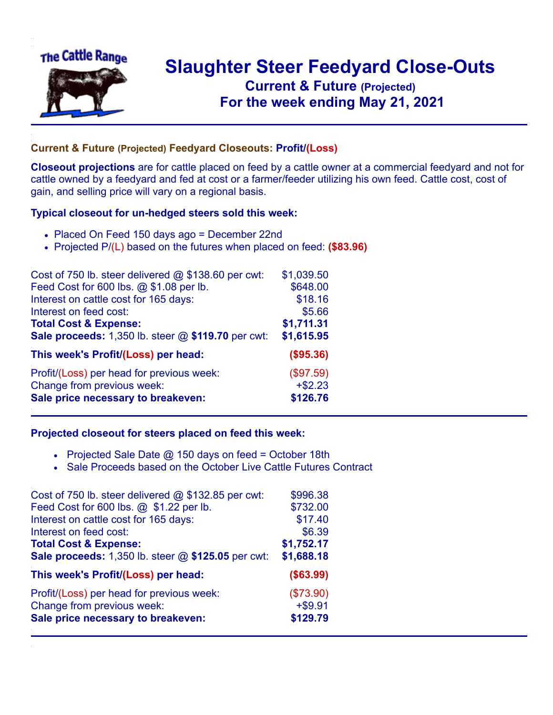

## **Slaughter Steer Feedyard Close-Outs Current & Future (Projected)** .**For the week ending May 21, 2021**

## **Current & Future (Projected) Feedyard Closeouts: Profit/(Loss)**

**Closeout projections** are for cattle placed on feed by a cattle owner at a commercial feedyard and not for cattle owned by a feedyard and fed at cost or a farmer/feeder utilizing his own feed. Cattle cost, cost of gain, and selling price will vary on a regional basis.

## **Typical closeout for un-hedged steers sold this week:**

- Placed On Feed 150 days ago = December 22nd
- Projected P/(L) based on the futures when placed on feed: **(\$83.96)**

| Cost of 750 lb. steer delivered $@$ \$138.60 per cwt: | \$1,039.50 |
|-------------------------------------------------------|------------|
| Feed Cost for 600 lbs. @ \$1.08 per lb.               | \$648.00   |
| Interest on cattle cost for 165 days:                 | \$18.16    |
| Interest on feed cost:                                | \$5.66     |
| <b>Total Cost &amp; Expense:</b>                      | \$1,711.31 |
| Sale proceeds: 1,350 lb. steer @ \$119.70 per cwt:    | \$1,615.95 |
| This week's Profit/(Loss) per head:                   | (\$95.36)  |
| Profit/(Loss) per head for previous week:             | (\$97.59)  |
| Change from previous week:                            | $+ $2.23$  |
| Sale price necessary to breakeven:                    | \$126.76   |

## **Projected closeout for steers placed on feed this week:**

- Projected Sale Date  $@$  150 days on feed = October 18th
- Sale Proceeds based on the October Live Cattle Futures Contract

| \$996.38   |
|------------|
| \$732.00   |
| \$17.40    |
| \$6.39     |
| \$1,752.17 |
| \$1,688.18 |
| (\$63.99)  |
| (\$73.90)  |
| $+ $9.91$  |
| \$129.79   |
|            |